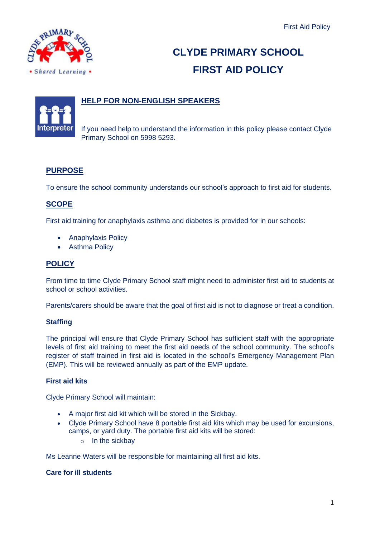

# **CLYDE PRIMARY SCHOOL FIRST AID POLICY**

# **HELP FOR NON-ENGLISH SPEAKERS**

If you need help to understand the information in this policy please contact Clyde Primary School on 5998 5293.

## **PURPOSE**

To ensure the school community understands our school's approach to first aid for students.

### **SCOPE**

First aid training for anaphylaxis asthma and diabetes is provided for in our schools:

- Anaphylaxis Policy
- Asthma Policy

#### **POLICY**

From time to time Clyde Primary School staff might need to administer first aid to students at school or school activities.

Parents/carers should be aware that the goal of first aid is not to diagnose or treat a condition.

#### **Staffing**

The principal will ensure that Clyde Primary School has sufficient staff with the appropriate levels of first aid training to meet the first aid needs of the school community. The school's register of staff trained in first aid is located in the school's Emergency Management Plan (EMP). This will be reviewed annually as part of the EMP update.

#### **First aid kits**

Clyde Primary School will maintain:

- A major first aid kit which will be stored in the Sickbay.
- Clyde Primary School have 8 portable first aid kits which may be used for excursions, camps, or yard duty. The portable first aid kits will be stored:
	- o In the sickbay

Ms Leanne Waters will be responsible for maintaining all first aid kits.

#### **Care for ill students**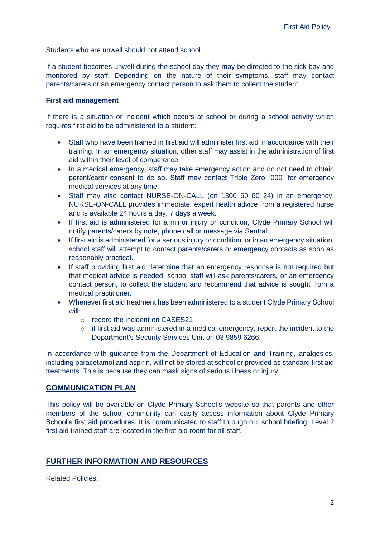Students who are unwell should not attend school.

If a student becomes unwell during the school day they may be directed to the sick bay and monitored by staff. Depending on the nature of their symptoms, staff may contact parents/carers or an emergency contact person to ask them to collect the student.

#### **First aid management**

If there is a situation or incident which occurs at school or during a school activity which requires first aid to be administered to a student:

- Staff who have been trained in first aid will administer first aid in accordance with their training. In an emergency situation, other staff may assist in the administration of first aid within their level of competence.
- In a medical emergency, staff may take emergency action and do not need to obtain parent/carer consent to do so. Staff may contact Triple Zero "000" for emergency medical services at any time.
- Staff may also contact NURSE-ON-CALL (on 1300 60 60 24) in an emergency. NURSE-ON-CALL provides immediate, expert health advice from a registered nurse and is available 24 hours a day, 7 days a week.
- If first aid is administered for a minor injury or condition, Clyde Primary School will notify parents/carers by note, phone call or message via Sentral.
- If first aid is administered for a serious injury or condition, or in an emergency situation, school staff will attempt to contact parents/carers or emergency contacts as soon as reasonably practical.
- If staff providing first aid determine that an emergency response is not required but that medical advice is needed, school staff will ask parents/carers, or an emergency contact person, to collect the student and recommend that advice is sought from a medical practitioner.
- Whenever first aid treatment has been administered to a student Clyde Primary School will:
	- o record the incident on CASES21
	- o if first aid was administered in a medical emergency, report the incident to the Department's Security Services Unit on 03 9859 6266.

In accordance with guidance from the Department of Education and Training, analgesics, including paracetamol and aspirin, will not be stored at school or provided as standard first aid treatments. This is because they can mask signs of serious illness or injury.

#### **COMMUNICATION PLAN**

This policy will be available on Clyde Primary School's website so that parents and other members of the school community can easily access information about Clyde Primary School's first aid procedures. It is communicated to staff through our school briefing. Level 2 first aid trained staff are located in the first aid room for all staff.

#### **FURTHER INFORMATION AND RESOURCES**

Related Policies: